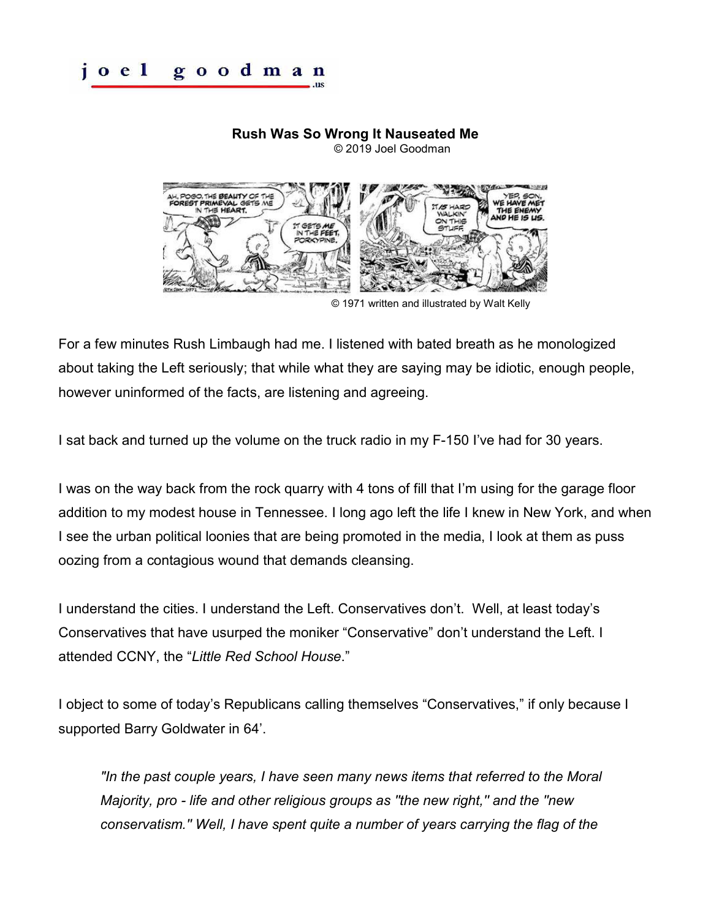## **Rush Was So Wrong It Nauseated Me**

© 2019 Joel Goodman



© 1971 written and illustrated by Walt Kelly

For a few minutes Rush Limbaugh had me. I listened with bated breath as he monologized about taking the Left seriously; that while what they are saying may be idiotic, enough people, however uninformed of the facts, are listening and agreeing.

I sat back and turned up the volume on the truck radio in my F-150 I've had for 30 years.

I was on the way back from the rock quarry with 4 tons of fill that I'm using for the garage floor addition to my modest house in Tennessee. I long ago left the life I knew in New York, and when I see the urban political loonies that are being promoted in the media, I look at them as puss oozing from a contagious wound that demands cleansing.

I understand the cities. I understand the Left. Conservatives don't. Well, at least today's Conservatives that have usurped the moniker "Conservative" don't understand the Left. I attended CCNY, the "*Little Red School House*."

I object to some of today's Republicans calling themselves "Conservatives," if only because I supported Barry Goldwater in 64'.

*"In the past couple years, I have seen many news items that referred to the Moral Majority, pro - life and other religious groups as ''the new right,'' and the ''new conservatism.'' Well, I have spent quite a number of years carrying the flag of the*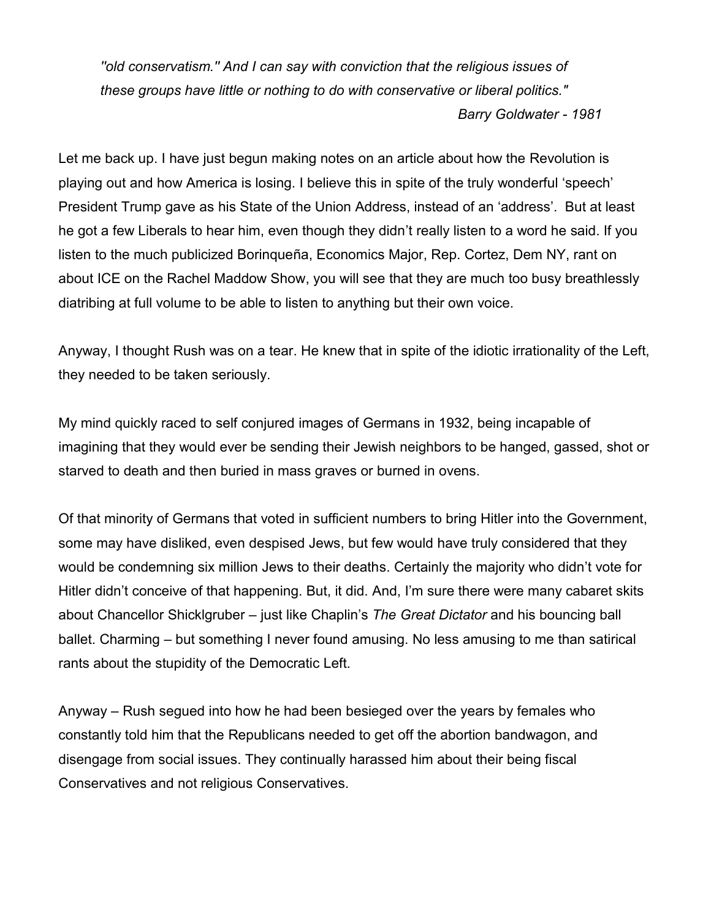*''old conservatism.'' And I can say with conviction that the religious issues of these groups have little or nothing to do with conservative or liberal politics." Barry Goldwater - 1981* 

Let me back up. I have just begun making notes on an article about how the Revolution is playing out and how America is losing. I believe this in spite of the truly wonderful 'speech' President Trump gave as his State of the Union Address, instead of an 'address'. But at least he got a few Liberals to hear him, even though they didn't really listen to a word he said. If you listen to the much publicized Borinqueña, Economics Major, Rep. Cortez, Dem NY, rant on about ICE on the Rachel Maddow Show, you will see that they are much too busy breathlessly diatribing at full volume to be able to listen to anything but their own voice.

Anyway, I thought Rush was on a tear. He knew that in spite of the idiotic irrationality of the Left, they needed to be taken seriously.

My mind quickly raced to self conjured images of Germans in 1932, being incapable of imagining that they would ever be sending their Jewish neighbors to be hanged, gassed, shot or starved to death and then buried in mass graves or burned in ovens.

Of that minority of Germans that voted in sufficient numbers to bring Hitler into the Government, some may have disliked, even despised Jews, but few would have truly considered that they would be condemning six million Jews to their deaths. Certainly the majority who didn't vote for Hitler didn't conceive of that happening. But, it did. And, I'm sure there were many cabaret skits about Chancellor Shicklgruber – just like Chaplin's *The Great Dictator* and his bouncing ball ballet. Charming – but something I never found amusing. No less amusing to me than satirical rants about the stupidity of the Democratic Left.

Anyway – Rush segued into how he had been besieged over the years by females who constantly told him that the Republicans needed to get off the abortion bandwagon, and disengage from social issues. They continually harassed him about their being fiscal Conservatives and not religious Conservatives.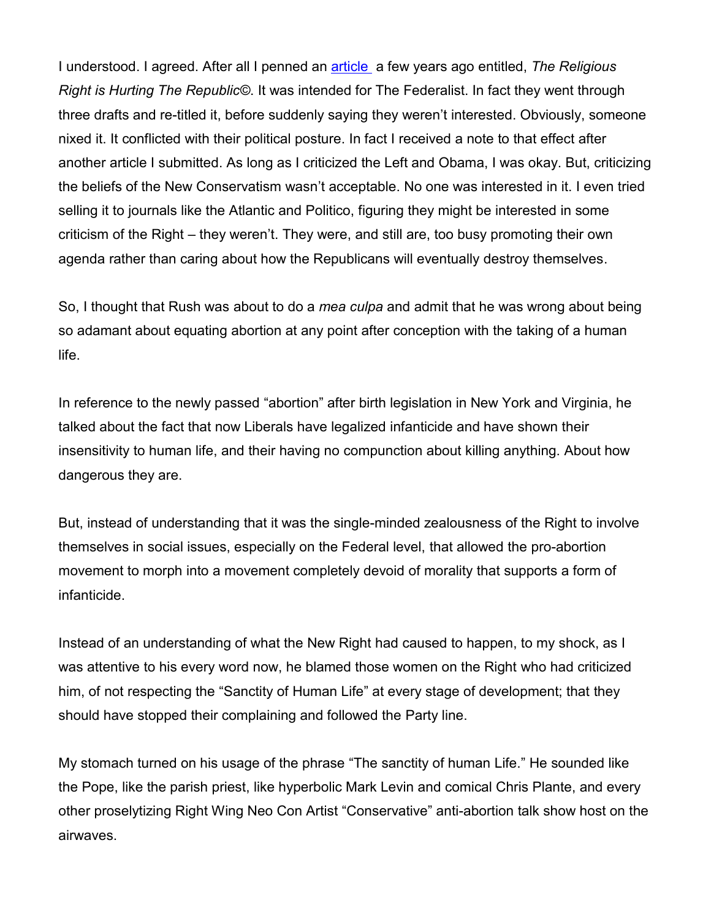I understood. I agreed. After all I penned an [article](http://joelgoodman.us/joel-goodman_articles/the-religious-right-is-hurting-the-republic.pdf) a few years ago entitled, *The Religious Right is Hurting The Republic©*. It was intended for The Federalist. In fact they went through three drafts and re-titled it, before suddenly saying they weren't interested. Obviously, someone nixed it. It conflicted with their political posture. In fact I received a note to that effect after another article I submitted. As long as I criticized the Left and Obama, I was okay. But, criticizing the beliefs of the New Conservatism wasn't acceptable. No one was interested in it. I even tried selling it to journals like the Atlantic and Politico, figuring they might be interested in some criticism of the Right – they weren't. They were, and still are, too busy promoting their own agenda rather than caring about how the Republicans will eventually destroy themselves.

So, I thought that Rush was about to do a *mea culpa* and admit that he was wrong about being so adamant about equating abortion at any point after conception with the taking of a human life.

In reference to the newly passed "abortion" after birth legislation in New York and Virginia, he talked about the fact that now Liberals have legalized infanticide and have shown their insensitivity to human life, and their having no compunction about killing anything. About how dangerous they are.

But, instead of understanding that it was the single-minded zealousness of the Right to involve themselves in social issues, especially on the Federal level, that allowed the pro-abortion movement to morph into a movement completely devoid of morality that supports a form of infanticide.

Instead of an understanding of what the New Right had caused to happen, to my shock, as I was attentive to his every word now, he blamed those women on the Right who had criticized him, of not respecting the "Sanctity of Human Life" at every stage of development; that they should have stopped their complaining and followed the Party line.

My stomach turned on his usage of the phrase "The sanctity of human Life." He sounded like the Pope, like the parish priest, like hyperbolic Mark Levin and comical Chris Plante, and every other proselytizing Right Wing Neo Con Artist "Conservative" anti-abortion talk show host on the airwaves.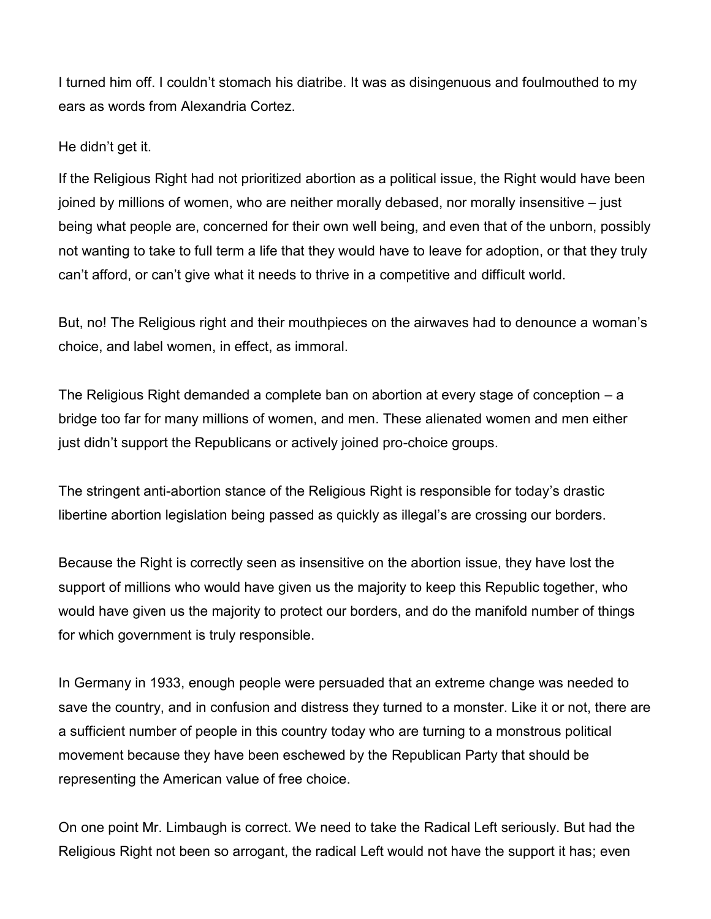I turned him off. I couldn't stomach his diatribe. It was as disingenuous and foulmouthed to my ears as words from Alexandria Cortez.

## He didn't get it.

If the Religious Right had not prioritized abortion as a political issue, the Right would have been joined by millions of women, who are neither morally debased, nor morally insensitive – just being what people are, concerned for their own well being, and even that of the unborn, possibly not wanting to take to full term a life that they would have to leave for adoption, or that they truly can't afford, or can't give what it needs to thrive in a competitive and difficult world.

But, no! The Religious right and their mouthpieces on the airwaves had to denounce a woman's choice, and label women, in effect, as immoral.

The Religious Right demanded a complete ban on abortion at every stage of conception – a bridge too far for many millions of women, and men. These alienated women and men either just didn't support the Republicans or actively joined pro-choice groups.

The stringent anti-abortion stance of the Religious Right is responsible for today's drastic libertine abortion legislation being passed as quickly as illegal's are crossing our borders.

Because the Right is correctly seen as insensitive on the abortion issue, they have lost the support of millions who would have given us the majority to keep this Republic together, who would have given us the majority to protect our borders, and do the manifold number of things for which government is truly responsible.

In Germany in 1933, enough people were persuaded that an extreme change was needed to save the country, and in confusion and distress they turned to a monster. Like it or not, there are a sufficient number of people in this country today who are turning to a monstrous political movement because they have been eschewed by the Republican Party that should be representing the American value of free choice.

On one point Mr. Limbaugh is correct. We need to take the Radical Left seriously. But had the Religious Right not been so arrogant, the radical Left would not have the support it has; even